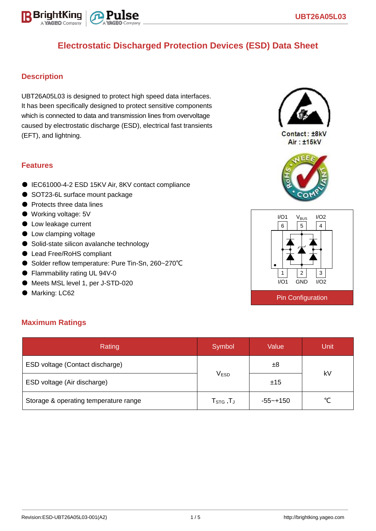

# **Electrostatic Discharged Protection Devices (ESD) Data Sheet**

### **Description**

UBT26A05L03 is designed to protect high speed data interfaces. It has been specifically designed to protect sensitive components which is connected to data and transmission lines from overvoltage caused by electrostatic discharge (ESD), electrical fast transients (EFT), and lightning.

### **Features**

- IEC61000-4-2 ESD 15KV Air, 8KV contact compliance
- SOT23-6L surface mount package
- Protects three data lines
- Working voltage: 5V
- Low leakage current
- Low clamping voltage
- Solid-state silicon avalanche technology
- Lead Free/RoHS compliant
- Solder reflow temperature: Pure Tin-Sn, 260~270°C
- Flammability rating UL 94V-0
- Meets MSL level 1, per J-STD-020
- Marking: LC62



Contact: ±8kV Air: ±15kV





### **Maximum Ratings**

| Rating                                | Symbol                          | Value        |    |  |
|---------------------------------------|---------------------------------|--------------|----|--|
| ESD voltage (Contact discharge)       |                                 | ±8           | kV |  |
| ESD voltage (Air discharge)           | <b>VESD</b>                     | ±15          |    |  |
| Storage & operating temperature range | $\mathsf{T}_{\texttt{STG}}$ ,TJ | $-55 - +150$ | ∽  |  |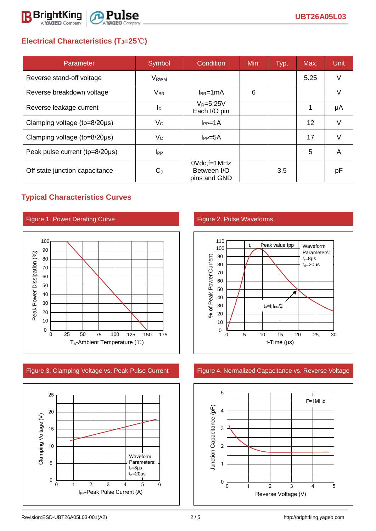

## **Electrical Characteristics (TJ=25**℃**)**

| Parameter                              | Symbol                 | Condition                                         | Min. | Typ. | Max.              | <b>Unit</b> |
|----------------------------------------|------------------------|---------------------------------------------------|------|------|-------------------|-------------|
| Reverse stand-off voltage              | V <sub>RWM</sub>       |                                                   |      |      | 5.25              | V           |
| Reverse breakdown voltage              | $V_{BR}$               | $I_{BR}$ =1mA                                     | 6    |      |                   | V           |
| Reverse leakage current                | <sup>I</sup> R         | $V_R = 5.25V$<br>Each I/O pin                     |      |      | 1                 | μA          |
| Clamping voltage ( $tp = 8/20 \mu s$ ) | $V_{C}$                | $I_{PP}=1A$                                       |      |      | $12 \overline{ }$ | V           |
| Clamping voltage ( $tp = 8/20 \mu s$ ) | $V_C$                  | $I_{PP} = 5A$                                     |      |      | 17                | $\vee$      |
| Peak pulse current (tp=8/20µs)         | <b>I</b> <sub>PP</sub> |                                                   |      |      | 5                 | A           |
| Off state junction capacitance         | $C_{\rm d}$            | $0Vdc$ , f=1 $MHz$<br>Between I/O<br>pins and GND |      | 3.5  |                   | рF          |

## **Typical Characteristics Curves**

### Figure 1. Power Derating Curve Figure 2. Pulse Waveforms







### Figure 3. Clamping Voltage vs. Peak Pulse Current Figure 4. Normalized Capacitance vs. Reverse Voltage

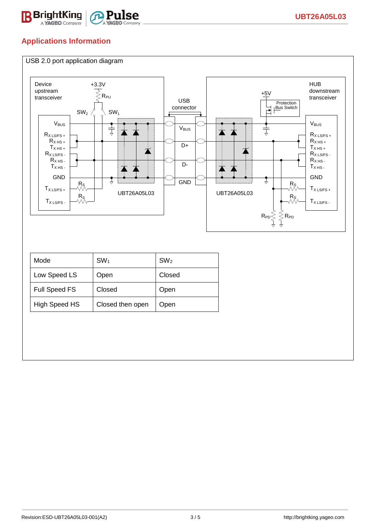

## **Applications Information**

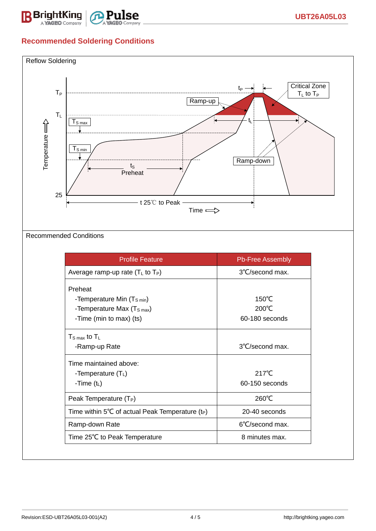

## **Recommended Soldering Conditions**